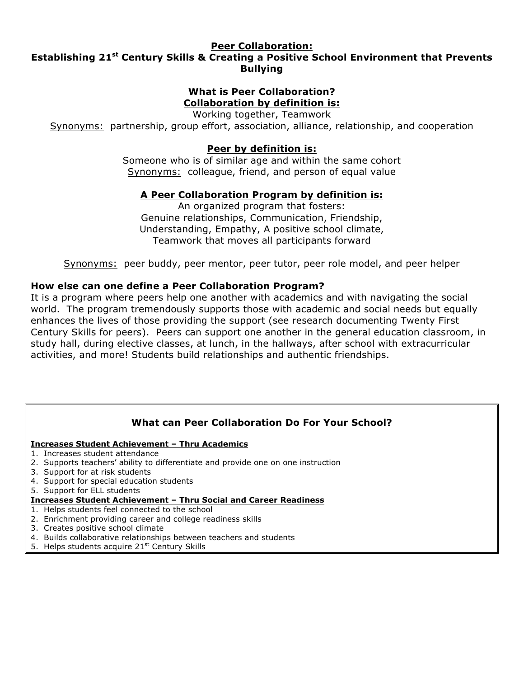#### **Peer Collaboration:**

# **Establishing 21st Century Skills & Creating a Positive School Environment that Prevents Bullying**

# **What is Peer Collaboration? Collaboration by definition is:**

Working together, Teamwork

Synonyms: partnership, group effort, association, alliance, relationship, and cooperation

# **Peer by definition is:**

Someone who is of similar age and within the same cohort Synonyms: colleague, friend, and person of equal value

# **A Peer Collaboration Program by definition is:**

An organized program that fosters: Genuine relationships, Communication, Friendship, Understanding, Empathy, A positive school climate, Teamwork that moves all participants forward

Synonyms: peer buddy, peer mentor, peer tutor, peer role model, and peer helper

# **How else can one define a Peer Collaboration Program?**

It is a program where peers help one another with academics and with navigating the social world. The program tremendously supports those with academic and social needs but equally enhances the lives of those providing the support (see research documenting Twenty First Century Skills for peers). Peers can support one another in the general education classroom, in study hall, during elective classes, at lunch, in the hallways, after school with extracurricular activities, and more! Students build relationships and authentic friendships.

# **What can Peer Collaboration Do For Your School?**

#### **Increases Student Achievement – Thru Academics**

- 1. Increases student attendance
- 2. Supports teachers' ability to differentiate and provide one on one instruction
- 3. Support for at risk students
- 4. Support for special education students
- 5. Support for ELL students

#### **Increases Student Achievement – Thru Social and Career Readiness**

- 1. Helps students feel connected to the school
- 2. Enrichment providing career and college readiness skills
- 3. Creates positive school climate
- 4. Builds collaborative relationships between teachers and students
- 5. Helps students acquire 21<sup>st</sup> Century Skills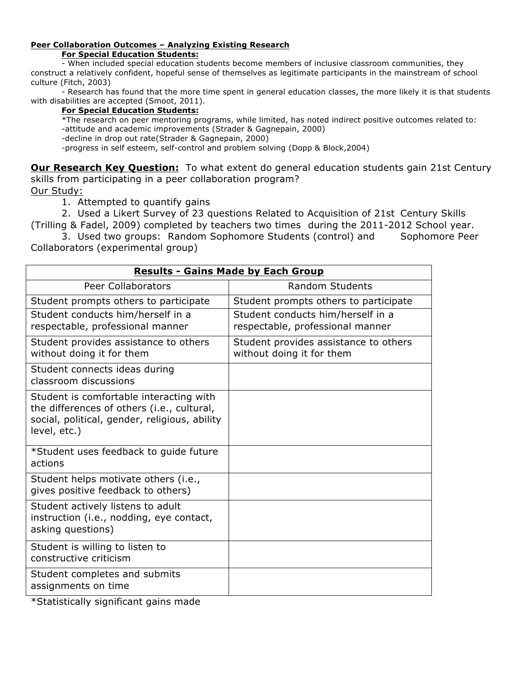#### **Peer Collaboration Outcomes – Analyzing Existing Research For Special Education Students:**

- When included special education students become members of inclusive classroom communities, they construct a relatively confident, hopeful sense of themselves as legitimate participants in the mainstream of school culture (Fitch, 2003)

- Research has found that the more time spent in general education classes, the more likely it is that students with disabilities are accepted (Smoot, 2011).

#### **For Special Education Students:**

\*The research on peer mentoring programs, while limited, has noted indirect positive outcomes related to: -attitude and academic improvements (Strader & Gagnepain, 2000)

-decline in drop out rate(Strader & Gagnepain, 2000)

-progress in self esteem, self-control and problem solving (Dopp & Block,2004)

**Our Research Key Question:** To what extent do general education students gain 21st Century skills from participating in a peer collaboration program? Our Study:

1. Attempted to quantify gains

2. Used a Likert Survey of 23 questions Related to Acquisition of 21st Century Skills (Trilling & Fadel, 2009) completed by teachers two times during the 2011-2012 School year.

3. Used two groups: Random Sophomore Students (control) and Sophomore Peer Collaborators (experimental group)

| <b>Results - Gains Made by Each Group</b>                                                                                                              |                                                                       |
|--------------------------------------------------------------------------------------------------------------------------------------------------------|-----------------------------------------------------------------------|
| <b>Peer Collaborators</b>                                                                                                                              | <b>Random Students</b>                                                |
| Student prompts others to participate                                                                                                                  | Student prompts others to participate                                 |
| Student conducts him/herself in a<br>respectable, professional manner                                                                                  | Student conducts him/herself in a<br>respectable, professional manner |
| Student provides assistance to others<br>without doing it for them                                                                                     | Student provides assistance to others<br>without doing it for them    |
| Student connects ideas during<br>classroom discussions                                                                                                 |                                                                       |
| Student is comfortable interacting with<br>the differences of others (i.e., cultural,<br>social, political, gender, religious, ability<br>level, etc.) |                                                                       |
| *Student uses feedback to quide future<br>actions                                                                                                      |                                                                       |
| Student helps motivate others (i.e.,<br>gives positive feedback to others)                                                                             |                                                                       |
| Student actively listens to adult<br>instruction (i.e., nodding, eye contact,<br>asking questions)                                                     |                                                                       |
| Student is willing to listen to<br>constructive criticism                                                                                              |                                                                       |
| Student completes and submits<br>assignments on time                                                                                                   |                                                                       |

\*Statistically significant gains made